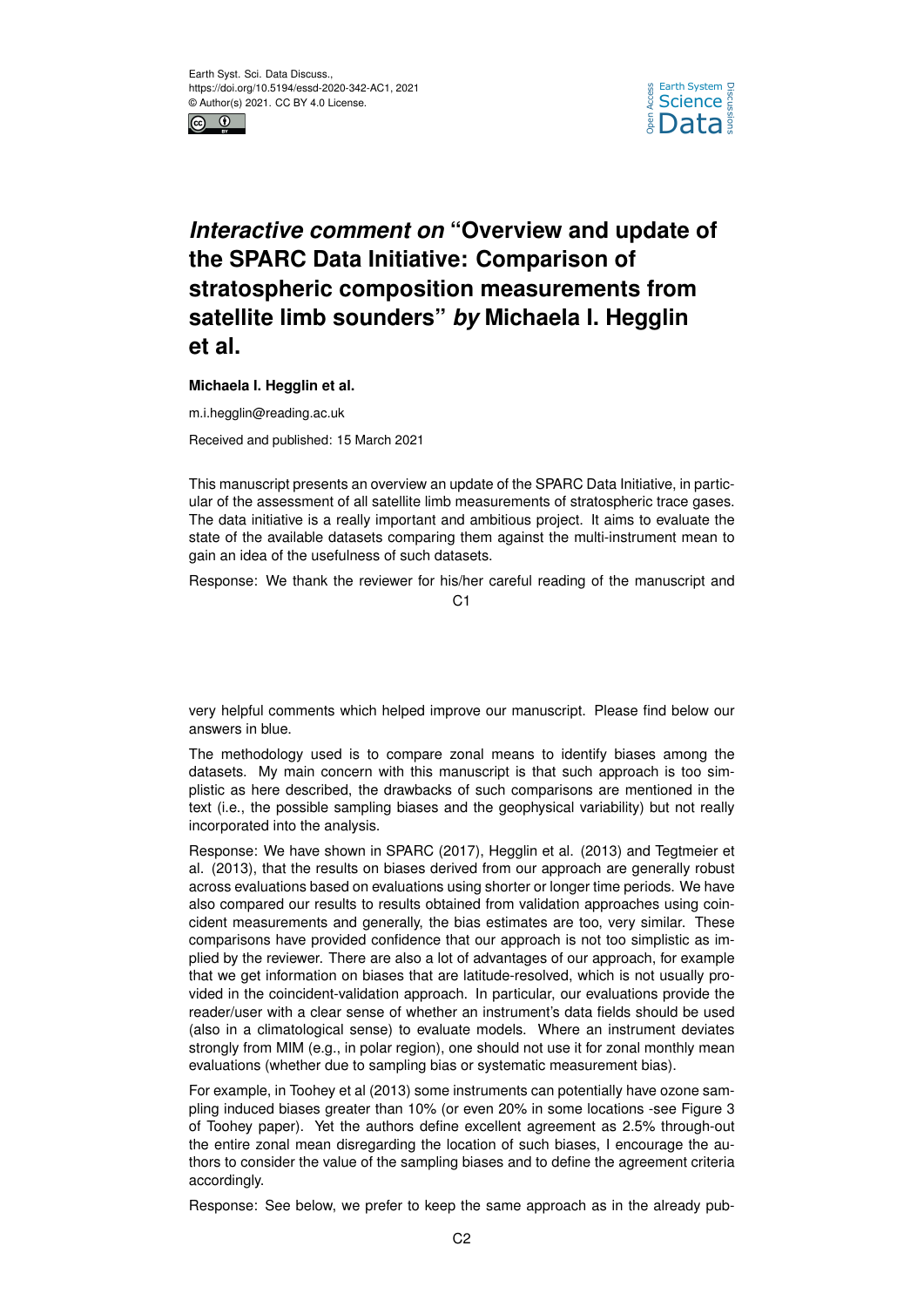



## *Interactive comment on* **"Overview and update of the SPARC Data Initiative: Comparison of stratospheric composition measurements from satellite limb sounders"** *by* **Michaela I. Hegglin et al.**

## **Michaela I. Hegglin et al.**

m.i.hegglin@reading.ac.uk

Received and published: 15 March 2021

This manuscript presents an overview an update of the SPARC Data Initiative, in particular of the assessment of all satellite limb measurements of stratospheric trace gases. The data initiative is a really important and ambitious project. It aims to evaluate the state of the available datasets comparing them against the multi-instrument mean to gain an idea of the usefulness of such datasets.

Response: We thank the reviewer for his/her careful reading of the manuscript and

C1

very helpful comments which helped improve our manuscript. Please find below our answers in blue.

The methodology used is to compare zonal means to identify biases among the datasets. My main concern with this manuscript is that such approach is too simplistic as here described, the drawbacks of such comparisons are mentioned in the text (i.e., the possible sampling biases and the geophysical variability) but not really incorporated into the analysis.

Response: We have shown in SPARC (2017), Hegglin et al. (2013) and Tegtmeier et al. (2013), that the results on biases derived from our approach are generally robust across evaluations based on evaluations using shorter or longer time periods. We have also compared our results to results obtained from validation approaches using coincident measurements and generally, the bias estimates are too, very similar. These comparisons have provided confidence that our approach is not too simplistic as implied by the reviewer. There are also a lot of advantages of our approach, for example that we get information on biases that are latitude-resolved, which is not usually provided in the coincident-validation approach. In particular, our evaluations provide the reader/user with a clear sense of whether an instrument's data fields should be used (also in a climatological sense) to evaluate models. Where an instrument deviates strongly from MIM (e.g., in polar region), one should not use it for zonal monthly mean evaluations (whether due to sampling bias or systematic measurement bias).

For example, in Toohey et al (2013) some instruments can potentially have ozone sampling induced biases greater than 10% (or even 20% in some locations -see Figure 3 of Toohey paper). Yet the authors define excellent agreement as 2.5% through-out the entire zonal mean disregarding the location of such biases, I encourage the authors to consider the value of the sampling biases and to define the agreement criteria accordingly.

Response: See below, we prefer to keep the same approach as in the already pub-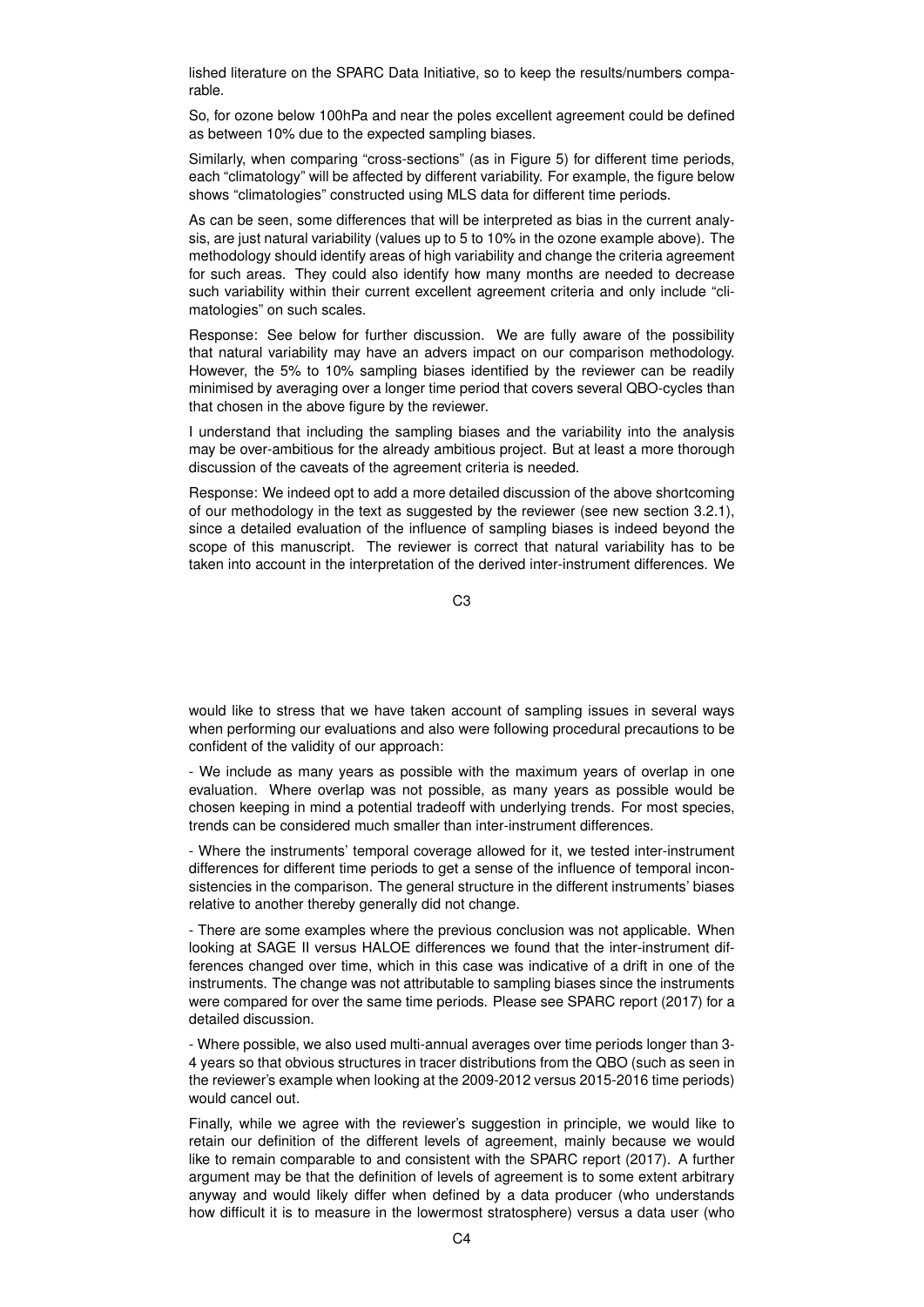lished literature on the SPARC Data Initiative, so to keep the results/numbers comparable.

So, for ozone below 100hPa and near the poles excellent agreement could be defined as between 10% due to the expected sampling biases.

Similarly, when comparing "cross-sections" (as in Figure 5) for different time periods, each "climatology" will be affected by different variability. For example, the figure below shows "climatologies" constructed using MLS data for different time periods.

As can be seen, some differences that will be interpreted as bias in the current analysis, are just natural variability (values up to 5 to 10% in the ozone example above). The methodology should identify areas of high variability and change the criteria agreement for such areas. They could also identify how many months are needed to decrease such variability within their current excellent agreement criteria and only include "climatologies" on such scales.

Response: See below for further discussion. We are fully aware of the possibility that natural variability may have an advers impact on our comparison methodology. However, the 5% to 10% sampling biases identified by the reviewer can be readily minimised by averaging over a longer time period that covers several QBO-cycles than that chosen in the above figure by the reviewer.

I understand that including the sampling biases and the variability into the analysis may be over-ambitious for the already ambitious project. But at least a more thorough discussion of the caveats of the agreement criteria is needed.

Response: We indeed opt to add a more detailed discussion of the above shortcoming of our methodology in the text as suggested by the reviewer (see new section 3.2.1), since a detailed evaluation of the influence of sampling biases is indeed beyond the scope of this manuscript. The reviewer is correct that natural variability has to be taken into account in the interpretation of the derived inter-instrument differences. We

 $C<sub>3</sub>$ 

would like to stress that we have taken account of sampling issues in several ways when performing our evaluations and also were following procedural precautions to be confident of the validity of our approach:

- We include as many years as possible with the maximum years of overlap in one evaluation. Where overlap was not possible, as many years as possible would be chosen keeping in mind a potential tradeoff with underlying trends. For most species, trends can be considered much smaller than inter-instrument differences.

- Where the instruments' temporal coverage allowed for it, we tested inter-instrument differences for different time periods to get a sense of the influence of temporal inconsistencies in the comparison. The general structure in the different instruments' biases relative to another thereby generally did not change.

- There are some examples where the previous conclusion was not applicable. When looking at SAGE II versus HALOE differences we found that the inter-instrument differences changed over time, which in this case was indicative of a drift in one of the instruments. The change was not attributable to sampling biases since the instruments were compared for over the same time periods. Please see SPARC report (2017) for a detailed discussion.

- Where possible, we also used multi-annual averages over time periods longer than 3- 4 years so that obvious structures in tracer distributions from the QBO (such as seen in the reviewer's example when looking at the 2009-2012 versus 2015-2016 time periods) would cancel out.

Finally, while we agree with the reviewer's suggestion in principle, we would like to retain our definition of the different levels of agreement, mainly because we would like to remain comparable to and consistent with the SPARC report (2017). A further argument may be that the definition of levels of agreement is to some extent arbitrary anyway and would likely differ when defined by a data producer (who understands how difficult it is to measure in the lowermost stratosphere) versus a data user (who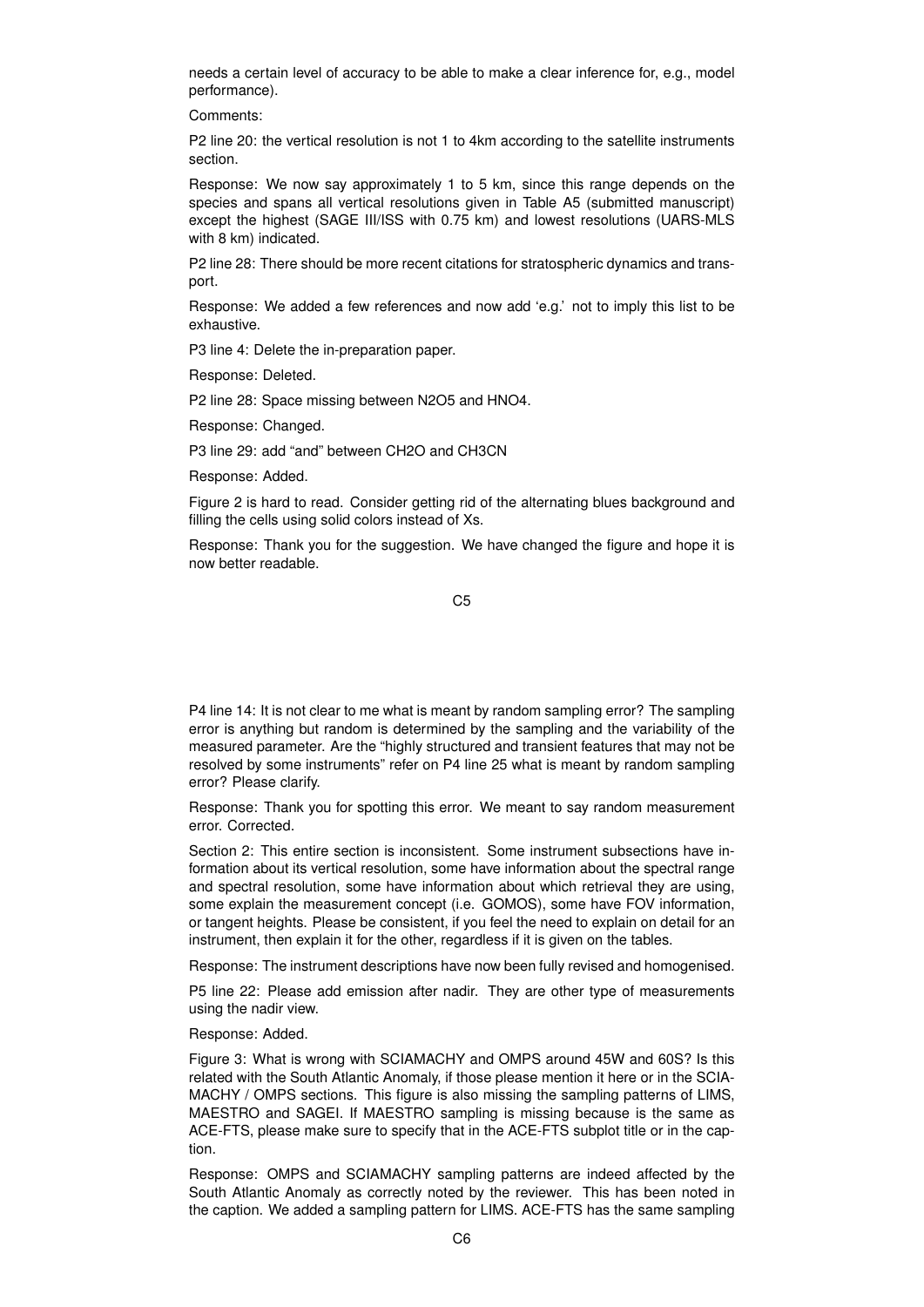needs a certain level of accuracy to be able to make a clear inference for, e.g., model performance).

Comments:

P2 line 20: the vertical resolution is not 1 to 4km according to the satellite instruments section.

Response: We now say approximately 1 to 5 km, since this range depends on the species and spans all vertical resolutions given in Table A5 (submitted manuscript) except the highest (SAGE III/ISS with 0.75 km) and lowest resolutions (UARS-MLS with 8 km) indicated.

P2 line 28: There should be more recent citations for stratospheric dynamics and transport.

Response: We added a few references and now add 'e.g.' not to imply this list to be exhaustive.

P3 line 4: Delete the in-preparation paper.

Response: Deleted.

P2 line 28: Space missing between N2O5 and HNO4.

Response: Changed.

P3 line 29: add "and" between CH2O and CH3CN

Response: Added.

Figure 2 is hard to read. Consider getting rid of the alternating blues background and filling the cells using solid colors instead of Xs.

Response: Thank you for the suggestion. We have changed the figure and hope it is now better readable.

C5

P4 line 14: It is not clear to me what is meant by random sampling error? The sampling error is anything but random is determined by the sampling and the variability of the measured parameter. Are the "highly structured and transient features that may not be resolved by some instruments" refer on P4 line 25 what is meant by random sampling error? Please clarify.

Response: Thank you for spotting this error. We meant to say random measurement error. Corrected.

Section 2: This entire section is inconsistent. Some instrument subsections have information about its vertical resolution, some have information about the spectral range and spectral resolution, some have information about which retrieval they are using, some explain the measurement concept (i.e. GOMOS), some have FOV information, or tangent heights. Please be consistent, if you feel the need to explain on detail for an instrument, then explain it for the other, regardless if it is given on the tables.

Response: The instrument descriptions have now been fully revised and homogenised.

P5 line 22: Please add emission after nadir. They are other type of measurements using the nadir view.

Response: Added.

Figure 3: What is wrong with SCIAMACHY and OMPS around 45W and 60S? Is this related with the South Atlantic Anomaly, if those please mention it here or in the SCIA-MACHY / OMPS sections. This figure is also missing the sampling patterns of LIMS, MAESTRO and SAGEI. If MAESTRO sampling is missing because is the same as ACE-FTS, please make sure to specify that in the ACE-FTS subplot title or in the caption.

Response: OMPS and SCIAMACHY sampling patterns are indeed affected by the South Atlantic Anomaly as correctly noted by the reviewer. This has been noted in the caption. We added a sampling pattern for LIMS. ACE-FTS has the same sampling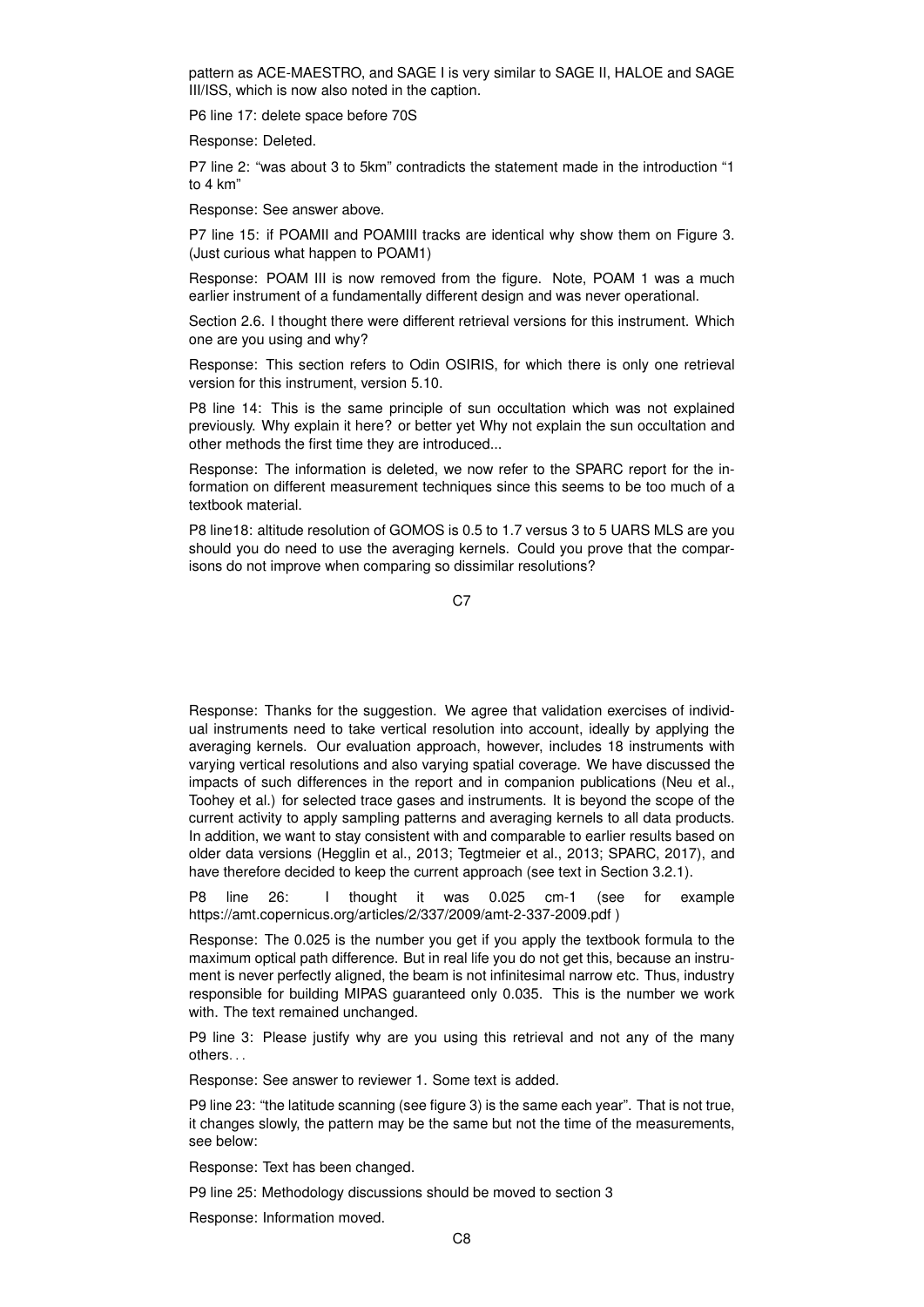pattern as ACE-MAESTRO, and SAGE I is very similar to SAGE II, HALOE and SAGE III/ISS, which is now also noted in the caption.

P6 line 17: delete space before 70S

Response: Deleted.

P7 line 2: "was about 3 to 5km" contradicts the statement made in the introduction "1 to 4 km"

Response: See answer above.

P7 line 15: if POAMII and POAMIII tracks are identical why show them on Figure 3. (Just curious what happen to POAM1)

Response: POAM III is now removed from the figure. Note, POAM 1 was a much earlier instrument of a fundamentally different design and was never operational.

Section 2.6. I thought there were different retrieval versions for this instrument. Which one are you using and why?

Response: This section refers to Odin OSIRIS, for which there is only one retrieval version for this instrument, version 5.10.

P8 line 14: This is the same principle of sun occultation which was not explained previously. Why explain it here? or better yet Why not explain the sun occultation and other methods the first time they are introduced...

Response: The information is deleted, we now refer to the SPARC report for the information on different measurement techniques since this seems to be too much of a textbook material.

P8 line18: altitude resolution of GOMOS is 0.5 to 1.7 versus 3 to 5 UARS MLS are you should you do need to use the averaging kernels. Could you prove that the comparisons do not improve when comparing so dissimilar resolutions?

C7

Response: Thanks for the suggestion. We agree that validation exercises of individual instruments need to take vertical resolution into account, ideally by applying the averaging kernels. Our evaluation approach, however, includes 18 instruments with varying vertical resolutions and also varying spatial coverage. We have discussed the impacts of such differences in the report and in companion publications (Neu et al., Toohey et al.) for selected trace gases and instruments. It is beyond the scope of the current activity to apply sampling patterns and averaging kernels to all data products. In addition, we want to stay consistent with and comparable to earlier results based on older data versions (Hegglin et al., 2013; Tegtmeier et al., 2013; SPARC, 2017), and have therefore decided to keep the current approach (see text in Section 3.2.1).

P8 line 26: I thought it was 0.025 cm-1 (see for example https://amt.copernicus.org/articles/2/337/2009/amt-2-337-2009.pdf )

Response: The 0.025 is the number you get if you apply the textbook formula to the maximum optical path difference. But in real life you do not get this, because an instrument is never perfectly aligned, the beam is not infinitesimal narrow etc. Thus, industry responsible for building MIPAS guaranteed only 0.035. This is the number we work with. The text remained unchanged.

P9 line 3: Please justify why are you using this retrieval and not any of the many others. . .

Response: See answer to reviewer 1. Some text is added.

P9 line 23: "the latitude scanning (see figure 3) is the same each year". That is not true, it changes slowly, the pattern may be the same but not the time of the measurements, see below:

Response: Text has been changed.

P9 line 25: Methodology discussions should be moved to section 3

Response: Information moved.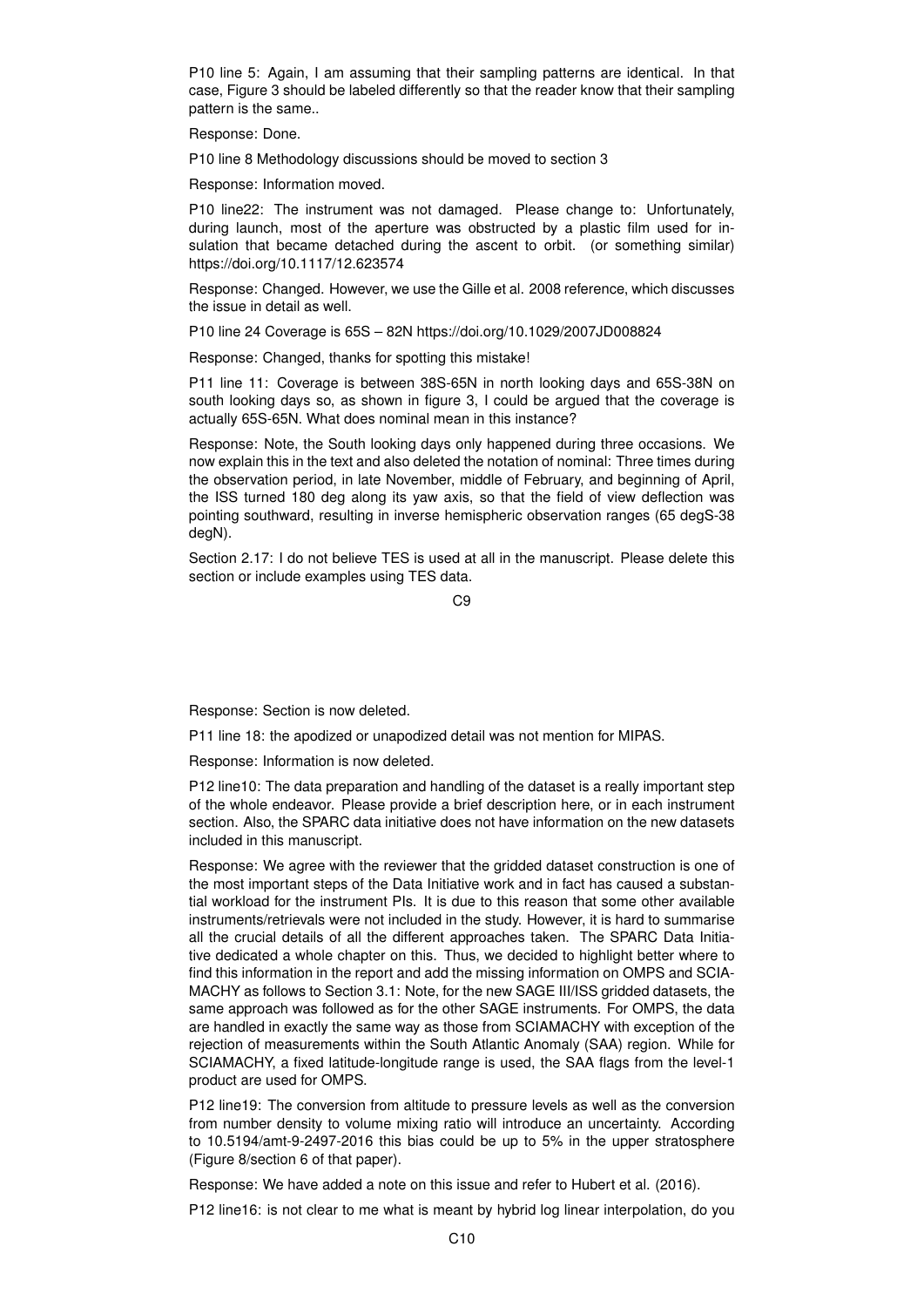P10 line 5: Again, I am assuming that their sampling patterns are identical. In that case, Figure 3 should be labeled differently so that the reader know that their sampling pattern is the same..

Response: Done.

P10 line 8 Methodology discussions should be moved to section 3

Response: Information moved.

P10 line22: The instrument was not damaged. Please change to: Unfortunately, during launch, most of the aperture was obstructed by a plastic film used for insulation that became detached during the ascent to orbit. (or something similar) https://doi.org/10.1117/12.623574

Response: Changed. However, we use the Gille et al. 2008 reference, which discusses the issue in detail as well.

P10 line 24 Coverage is 65S – 82N https://doi.org/10.1029/2007JD008824

Response: Changed, thanks for spotting this mistake!

P11 line 11: Coverage is between 38S-65N in north looking days and 65S-38N on south looking days so, as shown in figure 3, I could be argued that the coverage is actually 65S-65N. What does nominal mean in this instance?

Response: Note, the South looking days only happened during three occasions. We now explain this in the text and also deleted the notation of nominal: Three times during the observation period, in late November, middle of February, and beginning of April, the ISS turned 180 deg along its yaw axis, so that the field of view deflection was pointing southward, resulting in inverse hemispheric observation ranges (65 degS-38 degN).

Section 2.17: I do not believe TES is used at all in the manuscript. Please delete this section or include examples using TES data.

 $C<sub>9</sub>$ 

Response: Section is now deleted.

P11 line 18: the apodized or unapodized detail was not mention for MIPAS.

Response: Information is now deleted.

P12 line10: The data preparation and handling of the dataset is a really important step of the whole endeavor. Please provide a brief description here, or in each instrument section. Also, the SPARC data initiative does not have information on the new datasets included in this manuscript.

Response: We agree with the reviewer that the gridded dataset construction is one of the most important steps of the Data Initiative work and in fact has caused a substantial workload for the instrument PIs. It is due to this reason that some other available instruments/retrievals were not included in the study. However, it is hard to summarise all the crucial details of all the different approaches taken. The SPARC Data Initiative dedicated a whole chapter on this. Thus, we decided to highlight better where to find this information in the report and add the missing information on OMPS and SCIA-MACHY as follows to Section 3.1: Note, for the new SAGE III/ISS gridded datasets, the same approach was followed as for the other SAGE instruments. For OMPS, the data are handled in exactly the same way as those from SCIAMACHY with exception of the rejection of measurements within the South Atlantic Anomaly (SAA) region. While for SCIAMACHY, a fixed latitude-longitude range is used, the SAA flags from the level-1 product are used for OMPS.

P12 line19: The conversion from altitude to pressure levels as well as the conversion from number density to volume mixing ratio will introduce an uncertainty. According to 10.5194/amt-9-2497-2016 this bias could be up to 5% in the upper stratosphere (Figure 8/section 6 of that paper).

Response: We have added a note on this issue and refer to Hubert et al. (2016).

P12 line16: is not clear to me what is meant by hybrid log linear interpolation, do you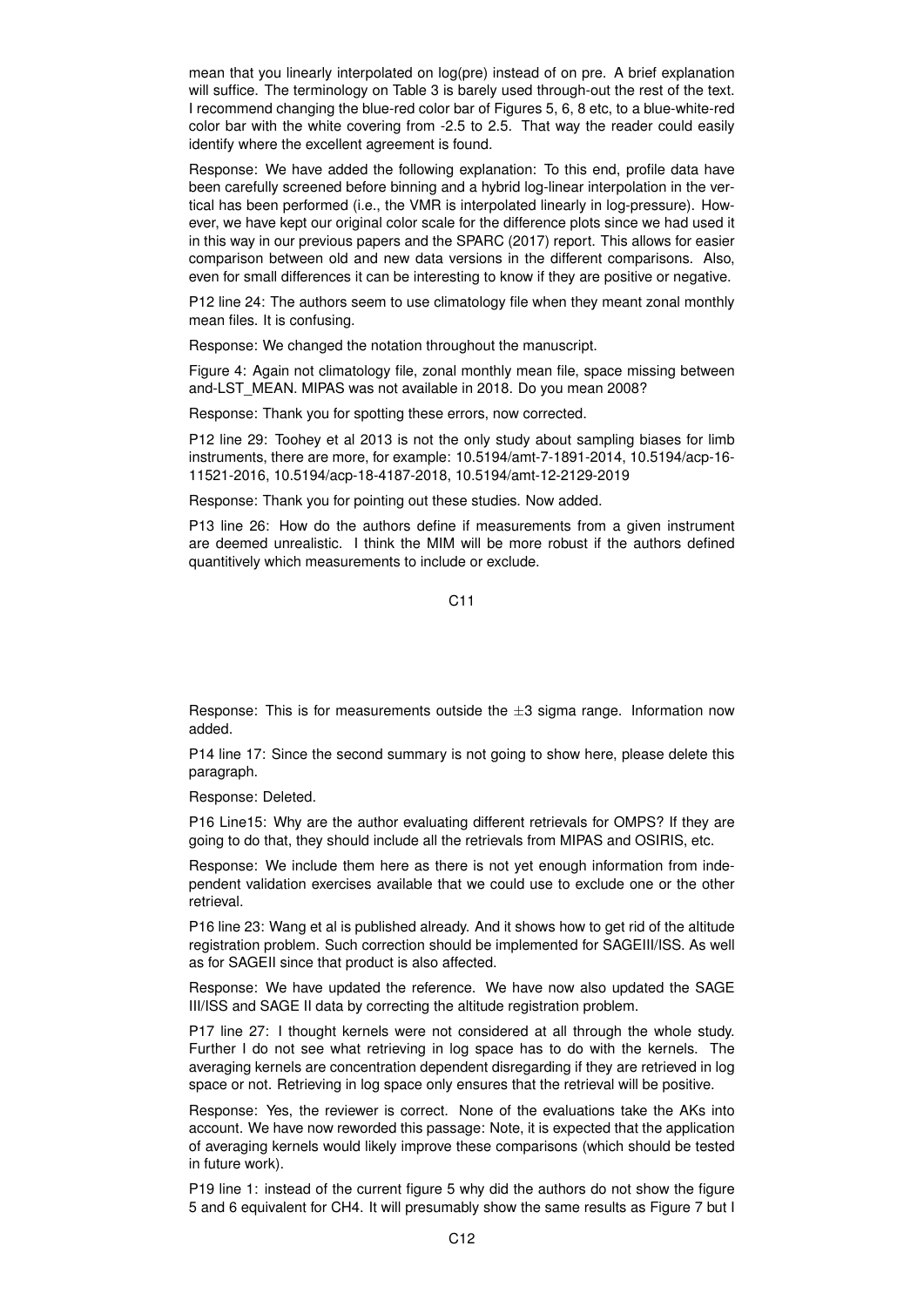mean that you linearly interpolated on log(pre) instead of on pre. A brief explanation will suffice. The terminology on Table 3 is barely used through-out the rest of the text. I recommend changing the blue-red color bar of Figures 5, 6, 8 etc, to a blue-white-red color bar with the white covering from -2.5 to 2.5. That way the reader could easily identify where the excellent agreement is found.

Response: We have added the following explanation: To this end, profile data have been carefully screened before binning and a hybrid log-linear interpolation in the vertical has been performed (i.e., the VMR is interpolated linearly in log-pressure). However, we have kept our original color scale for the difference plots since we had used it in this way in our previous papers and the SPARC (2017) report. This allows for easier comparison between old and new data versions in the different comparisons. Also, even for small differences it can be interesting to know if they are positive or negative.

P12 line 24: The authors seem to use climatology file when they meant zonal monthly mean files. It is confusing.

Response: We changed the notation throughout the manuscript.

Figure 4: Again not climatology file, zonal monthly mean file, space missing between and-LST\_MEAN. MIPAS was not available in 2018. Do you mean 2008?

Response: Thank you for spotting these errors, now corrected.

P12 line 29: Toohey et al 2013 is not the only study about sampling biases for limb instruments, there are more, for example: 10.5194/amt-7-1891-2014, 10.5194/acp-16- 11521-2016, 10.5194/acp-18-4187-2018, 10.5194/amt-12-2129-2019

Response: Thank you for pointing out these studies. Now added.

P13 line 26: How do the authors define if measurements from a given instrument are deemed unrealistic. I think the MIM will be more robust if the authors defined quantitively which measurements to include or exclude.

C11

Response: This is for measurements outside the  $\pm 3$  sigma range. Information now added.

P14 line 17: Since the second summary is not going to show here, please delete this paragraph.

Response: Deleted.

P16 Line15: Why are the author evaluating different retrievals for OMPS? If they are going to do that, they should include all the retrievals from MIPAS and OSIRIS, etc.

Response: We include them here as there is not yet enough information from independent validation exercises available that we could use to exclude one or the other retrieval.

P16 line 23: Wang et al is published already. And it shows how to get rid of the altitude registration problem. Such correction should be implemented for SAGEIII/ISS. As well as for SAGEII since that product is also affected.

Response: We have updated the reference. We have now also updated the SAGE III/ISS and SAGE II data by correcting the altitude registration problem.

P17 line 27: I thought kernels were not considered at all through the whole study. Further I do not see what retrieving in log space has to do with the kernels. The averaging kernels are concentration dependent disregarding if they are retrieved in log space or not. Retrieving in log space only ensures that the retrieval will be positive.

Response: Yes, the reviewer is correct. None of the evaluations take the AKs into account. We have now reworded this passage: Note, it is expected that the application of averaging kernels would likely improve these comparisons (which should be tested in future work).

P19 line 1: instead of the current figure 5 why did the authors do not show the figure 5 and 6 equivalent for CH4. It will presumably show the same results as Figure 7 but I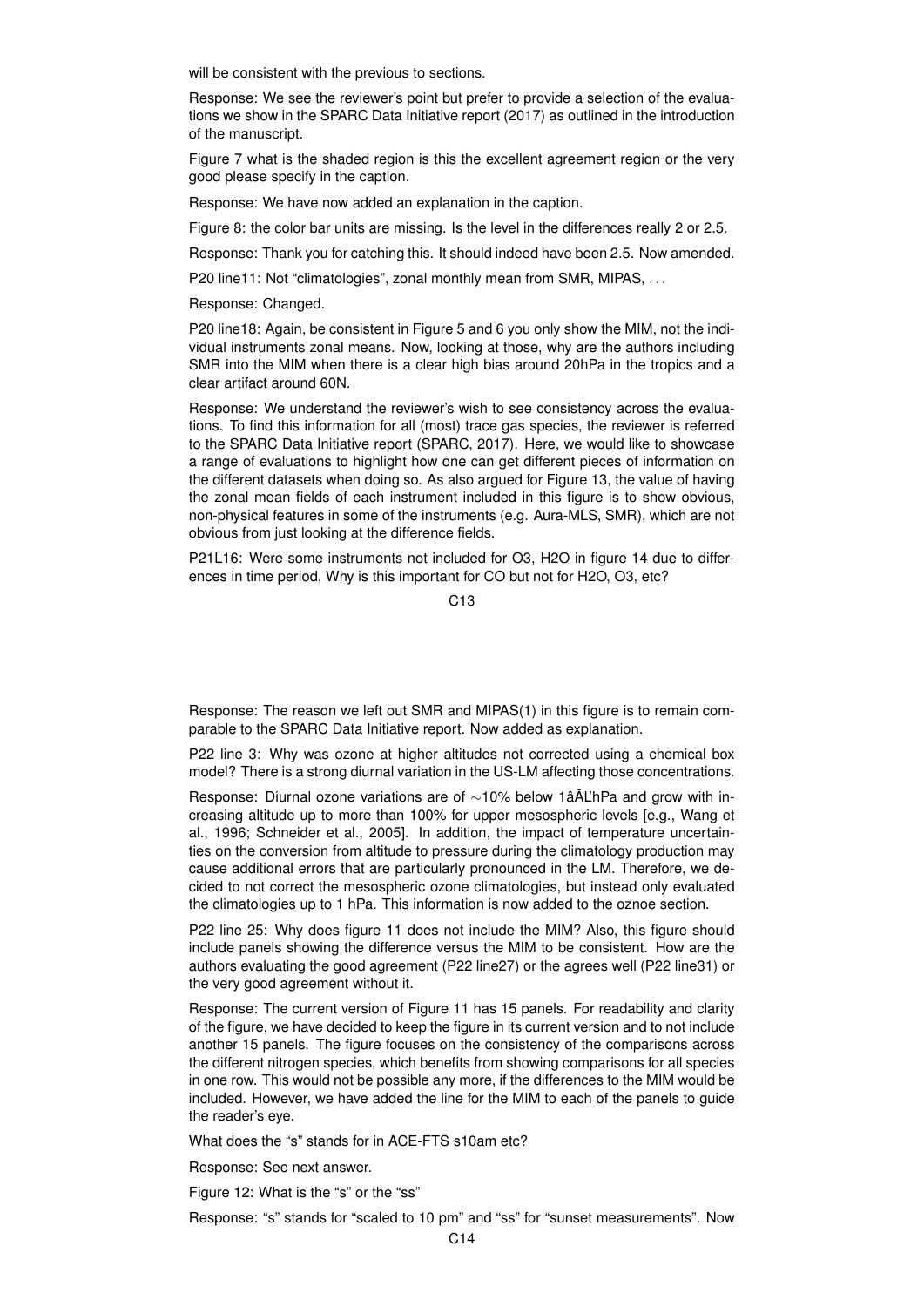will be consistent with the previous to sections.

Response: We see the reviewer's point but prefer to provide a selection of the evaluations we show in the SPARC Data Initiative report (2017) as outlined in the introduction of the manuscript.

Figure 7 what is the shaded region is this the excellent agreement region or the very good please specify in the caption.

Response: We have now added an explanation in the caption.

Figure 8: the color bar units are missing. Is the level in the differences really 2 or 2.5.

Response: Thank you for catching this. It should indeed have been 2.5. Now amended.

P20 line11: Not "climatologies", zonal monthly mean from SMR, MIPAS, ...

Response: Changed.

P20 line18: Again, be consistent in Figure 5 and 6 you only show the MIM, not the individual instruments zonal means. Now, looking at those, why are the authors including SMR into the MIM when there is a clear high bias around 20hPa in the tropics and a clear artifact around 60N.

Response: We understand the reviewer's wish to see consistency across the evaluations. To find this information for all (most) trace gas species, the reviewer is referred to the SPARC Data Initiative report (SPARC, 2017). Here, we would like to showcase a range of evaluations to highlight how one can get different pieces of information on the different datasets when doing so. As also argued for Figure 13, the value of having the zonal mean fields of each instrument included in this figure is to show obvious, non-physical features in some of the instruments (e.g. Aura-MLS, SMR), which are not obvious from just looking at the difference fields.

P21L16: Were some instruments not included for O3, H2O in figure 14 due to differences in time period, Why is this important for CO but not for H2O, O3, etc?

 $C<sub>13</sub>$ 

Response: The reason we left out SMR and MIPAS(1) in this figure is to remain comparable to the SPARC Data Initiative report. Now added as explanation.

P22 line 3: Why was ozone at higher altitudes not corrected using a chemical box model? There is a strong diurnal variation in the US-LM affecting those concentrations.

Response: Diurnal ozone variations are of ∼10% below 1âĂL'hPa and grow with increasing altitude up to more than 100% for upper mesospheric levels [e.g., Wang et al., 1996; Schneider et al., 2005]. In addition, the impact of temperature uncertainties on the conversion from altitude to pressure during the climatology production may cause additional errors that are particularly pronounced in the LM. Therefore, we decided to not correct the mesospheric ozone climatologies, but instead only evaluated the climatologies up to 1 hPa. This information is now added to the oznoe section.

P22 line 25: Why does figure 11 does not include the MIM? Also, this figure should include panels showing the difference versus the MIM to be consistent. How are the authors evaluating the good agreement (P22 line27) or the agrees well (P22 line31) or the very good agreement without it.

Response: The current version of Figure 11 has 15 panels. For readability and clarity of the figure, we have decided to keep the figure in its current version and to not include another 15 panels. The figure focuses on the consistency of the comparisons across the different nitrogen species, which benefits from showing comparisons for all species in one row. This would not be possible any more, if the differences to the MIM would be included. However, we have added the line for the MIM to each of the panels to guide the reader's eye.

What does the "s" stands for in ACE-FTS s10am etc?

Response: See next answer.

Figure 12: What is the "s" or the "ss"

Response: "s" stands for "scaled to 10 pm" and "ss" for "sunset measurements". Now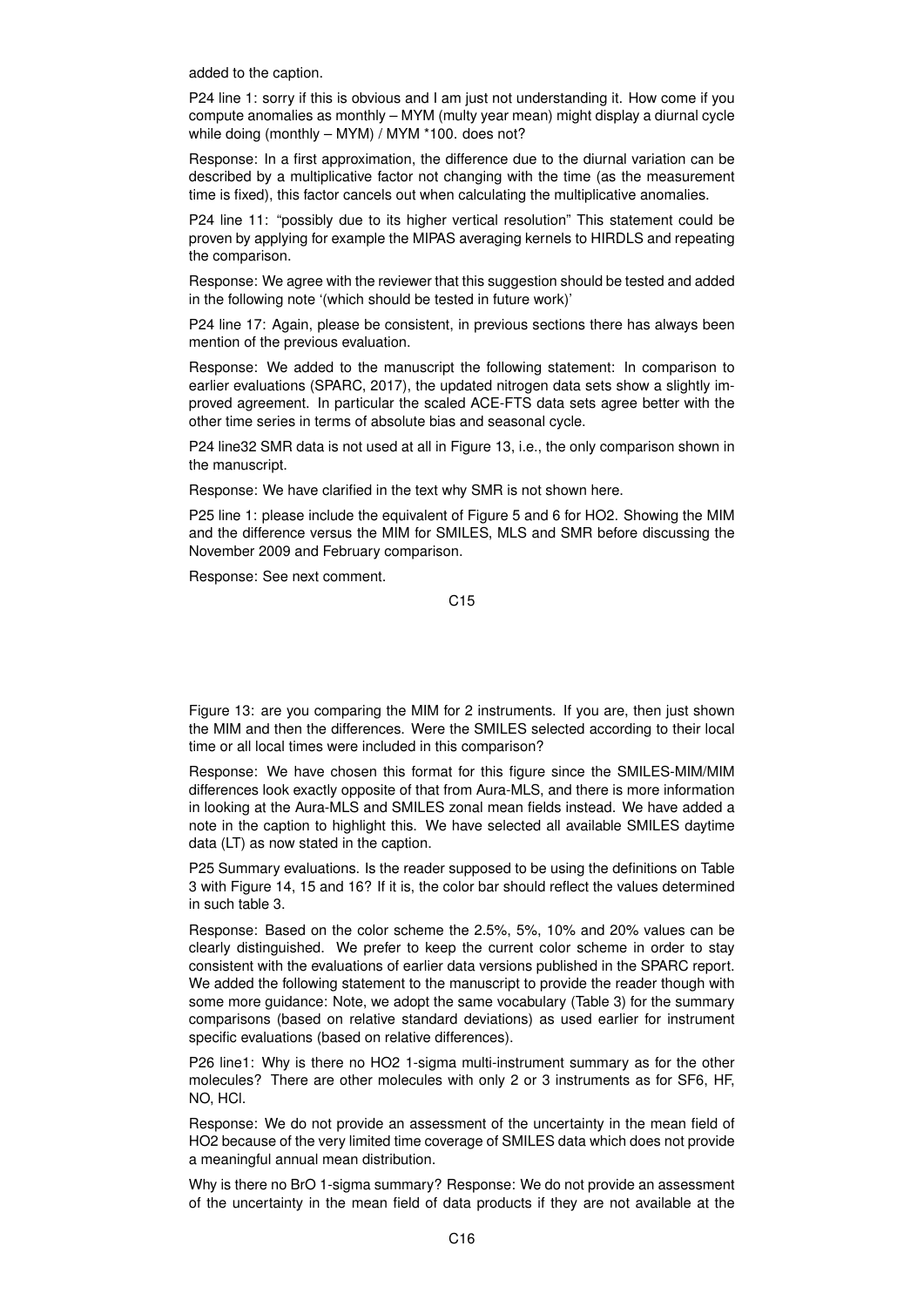added to the caption.

P24 line 1: sorry if this is obvious and I am just not understanding it. How come if you compute anomalies as monthly – MYM (multy year mean) might display a diurnal cycle while doing (monthly – MYM) / MYM \*100. does not?

Response: In a first approximation, the difference due to the diurnal variation can be described by a multiplicative factor not changing with the time (as the measurement time is fixed), this factor cancels out when calculating the multiplicative anomalies.

P24 line 11: "possibly due to its higher vertical resolution" This statement could be proven by applying for example the MIPAS averaging kernels to HIRDLS and repeating the comparison.

Response: We agree with the reviewer that this suggestion should be tested and added in the following note '(which should be tested in future work)'

P24 line 17: Again, please be consistent, in previous sections there has always been mention of the previous evaluation.

Response: We added to the manuscript the following statement: In comparison to earlier evaluations (SPARC, 2017), the updated nitrogen data sets show a slightly improved agreement. In particular the scaled ACE-FTS data sets agree better with the other time series in terms of absolute bias and seasonal cycle.

P24 line32 SMR data is not used at all in Figure 13, i.e., the only comparison shown in the manuscript.

Response: We have clarified in the text why SMR is not shown here.

P25 line 1: please include the equivalent of Figure 5 and 6 for HO2. Showing the MIM and the difference versus the MIM for SMILES, MLS and SMR before discussing the November 2009 and February comparison.

Response: See next comment.

C15

Figure 13: are you comparing the MIM for 2 instruments. If you are, then just shown the MIM and then the differences. Were the SMILES selected according to their local time or all local times were included in this comparison?

Response: We have chosen this format for this figure since the SMILES-MIM/MIM differences look exactly opposite of that from Aura-MLS, and there is more information in looking at the Aura-MLS and SMILES zonal mean fields instead. We have added a note in the caption to highlight this. We have selected all available SMILES daytime data (LT) as now stated in the caption.

P25 Summary evaluations. Is the reader supposed to be using the definitions on Table 3 with Figure 14, 15 and 16? If it is, the color bar should reflect the values determined in such table 3.

Response: Based on the color scheme the 2.5%, 5%, 10% and 20% values can be clearly distinguished. We prefer to keep the current color scheme in order to stay consistent with the evaluations of earlier data versions published in the SPARC report. We added the following statement to the manuscript to provide the reader though with some more guidance: Note, we adopt the same vocabulary (Table 3) for the summary comparisons (based on relative standard deviations) as used earlier for instrument specific evaluations (based on relative differences).

P26 line1: Why is there no HO2 1-sigma multi-instrument summary as for the other molecules? There are other molecules with only 2 or 3 instruments as for SF6, HF, NO, HCl.

Response: We do not provide an assessment of the uncertainty in the mean field of HO2 because of the very limited time coverage of SMILES data which does not provide a meaningful annual mean distribution.

Why is there no BrO 1-sigma summary? Response: We do not provide an assessment of the uncertainty in the mean field of data products if they are not available at the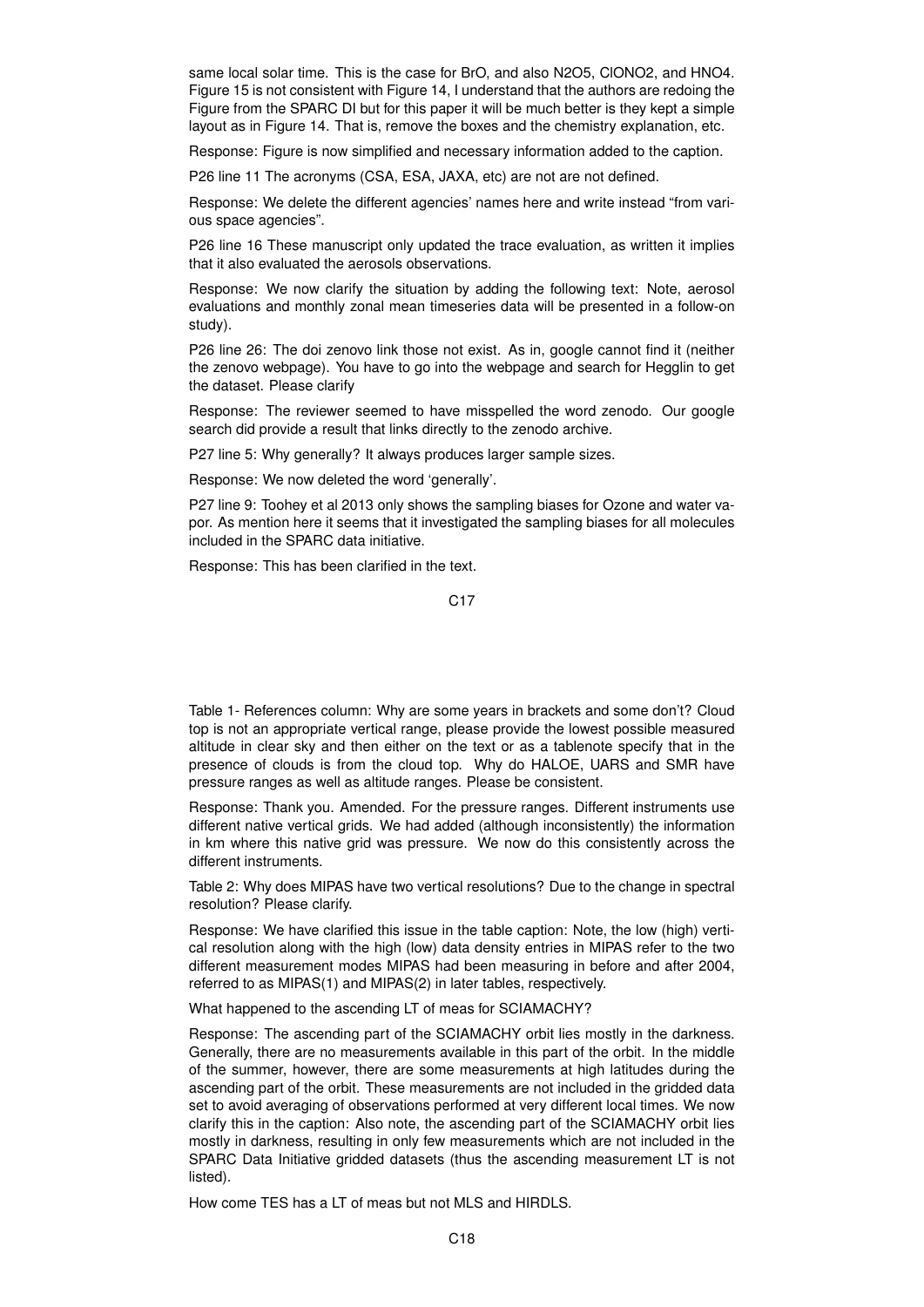same local solar time. This is the case for BrO, and also N2O5, ClONO2, and HNO4. Figure 15 is not consistent with Figure 14, I understand that the authors are redoing the Figure from the SPARC DI but for this paper it will be much better is they kept a simple layout as in Figure 14. That is, remove the boxes and the chemistry explanation, etc.

Response: Figure is now simplified and necessary information added to the caption.

P26 line 11 The acronyms (CSA, ESA, JAXA, etc) are not are not defined.

Response: We delete the different agencies' names here and write instead "from various space agencies".

P26 line 16 These manuscript only updated the trace evaluation, as written it implies that it also evaluated the aerosols observations.

Response: We now clarify the situation by adding the following text: Note, aerosol evaluations and monthly zonal mean timeseries data will be presented in a follow-on study).

P26 line 26: The doi zenovo link those not exist. As in, google cannot find it (neither the zenovo webpage). You have to go into the webpage and search for Hegglin to get the dataset. Please clarify

Response: The reviewer seemed to have misspelled the word zenodo. Our google search did provide a result that links directly to the zenodo archive.

P27 line 5: Why generally? It always produces larger sample sizes.

Response: We now deleted the word 'generally'.

P27 line 9: Toohey et al 2013 only shows the sampling biases for Ozone and water vapor. As mention here it seems that it investigated the sampling biases for all molecules included in the SPARC data initiative.

Response: This has been clarified in the text.

Table 1- References column: Why are some years in brackets and some don't? Cloud top is not an appropriate vertical range, please provide the lowest possible measured altitude in clear sky and then either on the text or as a tablenote specify that in the presence of clouds is from the cloud top. Why do HALOE, UARS and SMR have pressure ranges as well as altitude ranges. Please be consistent.

Response: Thank you. Amended. For the pressure ranges. Different instruments use different native vertical grids. We had added (although inconsistently) the information in km where this native grid was pressure. We now do this consistently across the different instruments.

Table 2: Why does MIPAS have two vertical resolutions? Due to the change in spectral resolution? Please clarify.

Response: We have clarified this issue in the table caption: Note, the low (high) vertical resolution along with the high (low) data density entries in MIPAS refer to the two different measurement modes MIPAS had been measuring in before and after 2004, referred to as MIPAS(1) and MIPAS(2) in later tables, respectively.

What happened to the ascending LT of meas for SCIAMACHY?

Response: The ascending part of the SCIAMACHY orbit lies mostly in the darkness. Generally, there are no measurements available in this part of the orbit. In the middle of the summer, however, there are some measurements at high latitudes during the ascending part of the orbit. These measurements are not included in the gridded data set to avoid averaging of observations performed at very different local times. We now clarify this in the caption: Also note, the ascending part of the SCIAMACHY orbit lies mostly in darkness, resulting in only few measurements which are not included in the SPARC Data Initiative gridded datasets (thus the ascending measurement LT is not listed).

How come TES has a LT of meas but not MLS and HIRDLS.

C17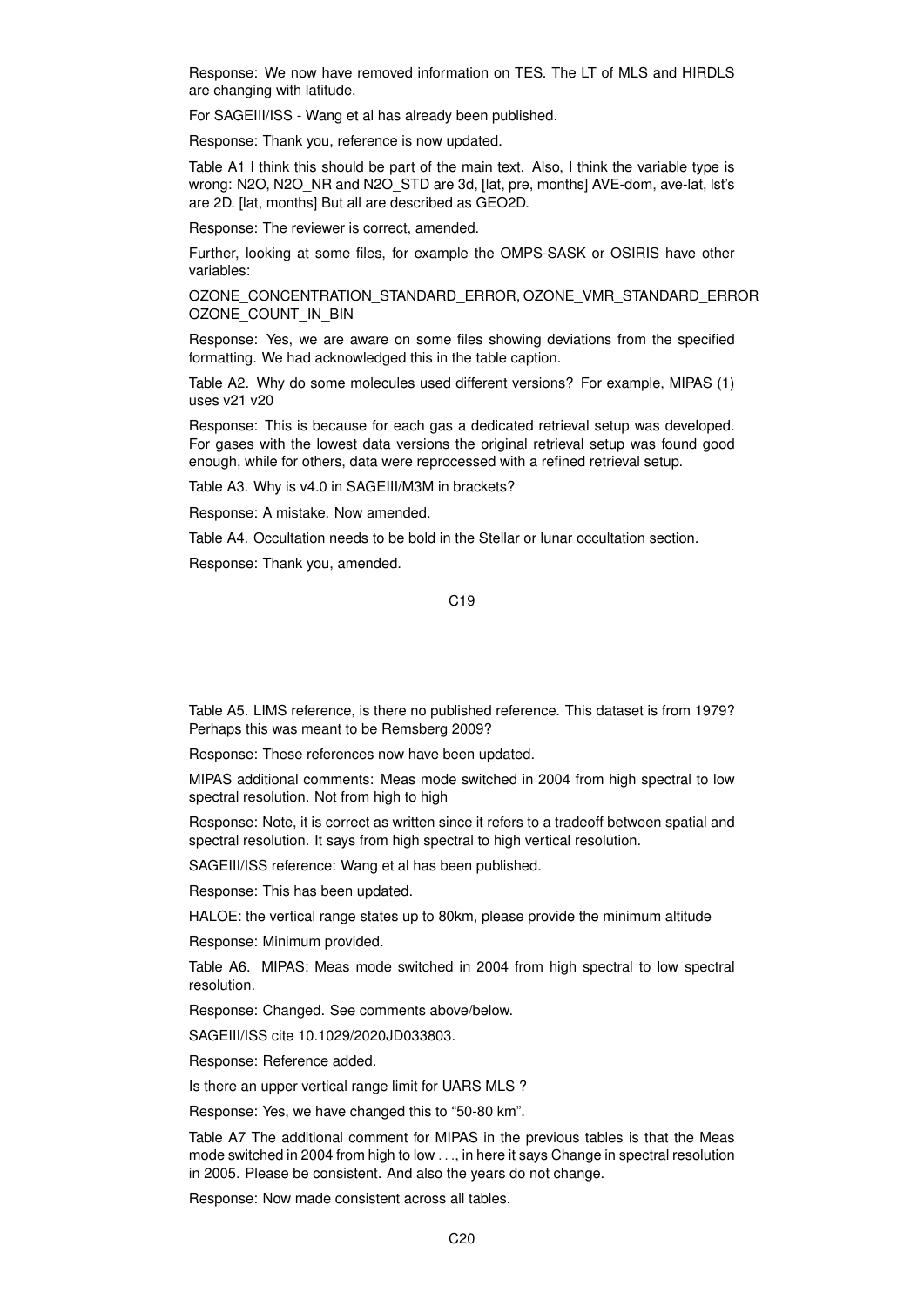Response: We now have removed information on TES. The LT of MLS and HIRDLS are changing with latitude.

For SAGEIII/ISS - Wang et al has already been published.

Response: Thank you, reference is now updated.

Table A1 I think this should be part of the main text. Also, I think the variable type is wrong: N2O, N2O\_NR and N2O\_STD are 3d, [lat, pre, months] AVE-dom, ave-lat, lst's are 2D. [lat, months] But all are described as GEO2D.

Response: The reviewer is correct, amended.

Further, looking at some files, for example the OMPS-SASK or OSIRIS have other variables:

OZONE\_CONCENTRATION\_STANDARD\_ERROR, OZONE\_VMR\_STANDARD\_ERROR OZONE\_COUNT\_IN\_BIN

Response: Yes, we are aware on some files showing deviations from the specified formatting. We had acknowledged this in the table caption.

Table A2. Why do some molecules used different versions? For example, MIPAS (1) uses v21 v20

Response: This is because for each gas a dedicated retrieval setup was developed. For gases with the lowest data versions the original retrieval setup was found good enough, while for others, data were reprocessed with a refined retrieval setup.

Table A3. Why is v4.0 in SAGEIII/M3M in brackets?

Response: A mistake. Now amended.

Table A4. Occultation needs to be bold in the Stellar or lunar occultation section.

Response: Thank you, amended.

C19

Table A5. LIMS reference, is there no published reference. This dataset is from 1979? Perhaps this was meant to be Remsberg 2009?

Response: These references now have been updated.

MIPAS additional comments: Meas mode switched in 2004 from high spectral to low spectral resolution. Not from high to high

Response: Note, it is correct as written since it refers to a tradeoff between spatial and spectral resolution. It says from high spectral to high vertical resolution.

SAGEIII/ISS reference: Wang et al has been published.

Response: This has been updated.

HALOE: the vertical range states up to 80km, please provide the minimum altitude

Response: Minimum provided.

Table A6. MIPAS: Meas mode switched in 2004 from high spectral to low spectral resolution.

Response: Changed. See comments above/below.

SAGEIII/ISS cite 10.1029/2020JD033803.

Response: Reference added.

Is there an upper vertical range limit for UARS MLS ?

Response: Yes, we have changed this to "50-80 km".

Table A7 The additional comment for MIPAS in the previous tables is that the Meas mode switched in 2004 from high to low . . ., in here it says Change in spectral resolution in 2005. Please be consistent. And also the years do not change.

Response: Now made consistent across all tables.